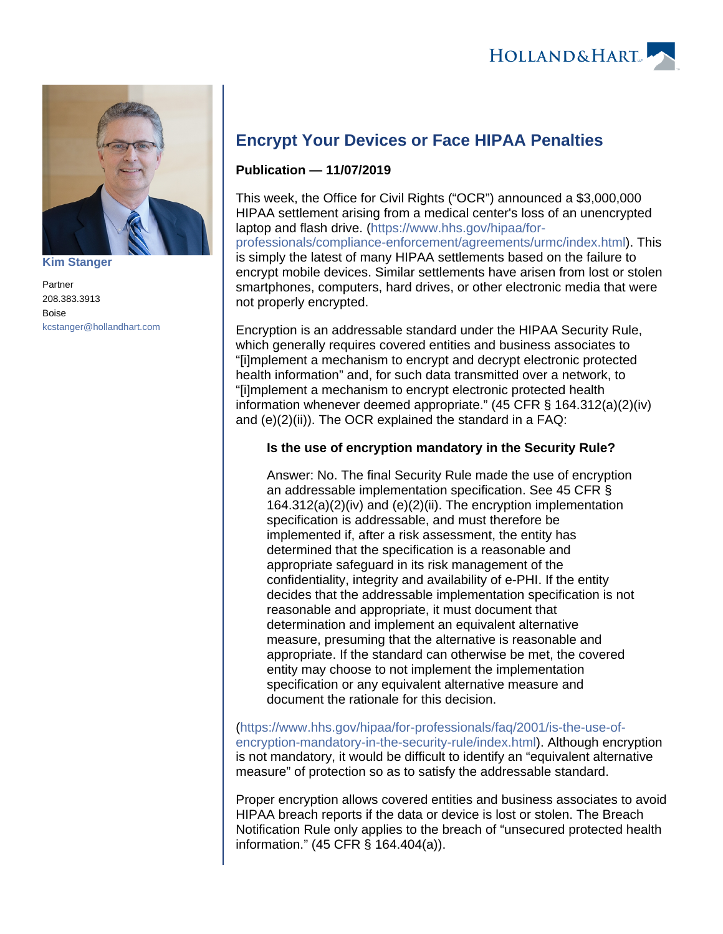

**[Kim Stanger](https://www.hollandhart.com/15954)**

Partner 208.383.3913 Boise [kcstanger@hollandhart.com](mailto:kcstanger@hollandhart.com)

## **Encrypt Your Devices or Face HIPAA Penalties**

## **Publication — 11/07/2019**

This week, the Office for Civil Rights ("OCR") announced a \$3,000,000 HIPAA settlement arising from a medical center's loss of an unencrypted laptop and flash drive. [\(https://www.hhs.gov/hipaa/for](https://www.hhs.gov/hipaa/for-professionals/compliance-enforcement/agreements/urmc/index.html)[professionals/compliance-enforcement/agreements/urmc/index.html\)](https://www.hhs.gov/hipaa/for-professionals/compliance-enforcement/agreements/urmc/index.html). This is simply the latest of many HIPAA settlements based on the failure to encrypt mobile devices. Similar settlements have arisen from lost or stolen smartphones, computers, hard drives, or other electronic media that were not properly encrypted.

Encryption is an addressable standard under the HIPAA Security Rule, which generally requires covered entities and business associates to "[i]mplement a mechanism to encrypt and decrypt electronic protected health information" and, for such data transmitted over a network, to "[i]mplement a mechanism to encrypt electronic protected health information whenever deemed appropriate." (45 CFR § 164.312(a)(2)(iv) and (e)(2)(ii)). The OCR explained the standard in a FAQ:

## **Is the use of encryption mandatory in the Security Rule?**

Answer: No. The final Security Rule made the use of encryption an addressable implementation specification. See 45 CFR § 164.312(a)(2)(iv) and (e)(2)(ii). The encryption implementation specification is addressable, and must therefore be implemented if, after a risk assessment, the entity has determined that the specification is a reasonable and appropriate safeguard in its risk management of the confidentiality, integrity and availability of e-PHI. If the entity decides that the addressable implementation specification is not reasonable and appropriate, it must document that determination and implement an equivalent alternative measure, presuming that the alternative is reasonable and appropriate. If the standard can otherwise be met, the covered entity may choose to not implement the implementation specification or any equivalent alternative measure and document the rationale for this decision.

[\(https://www.hhs.gov/hipaa/for-professionals/faq/2001/is-the-use-of](https://www.hhs.gov/hipaa/for-professionals/faq/2001/is-the-use-of-encryption-mandatory-in-the-security-rule/index.html)[encryption-mandatory-in-the-security-rule/index.html](https://www.hhs.gov/hipaa/for-professionals/faq/2001/is-the-use-of-encryption-mandatory-in-the-security-rule/index.html)). Although encryption is not mandatory, it would be difficult to identify an "equivalent alternative measure" of protection so as to satisfy the addressable standard.

Proper encryption allows covered entities and business associates to avoid HIPAA breach reports if the data or device is lost or stolen. The Breach Notification Rule only applies to the breach of "unsecured protected health information." (45 CFR § 164.404(a)).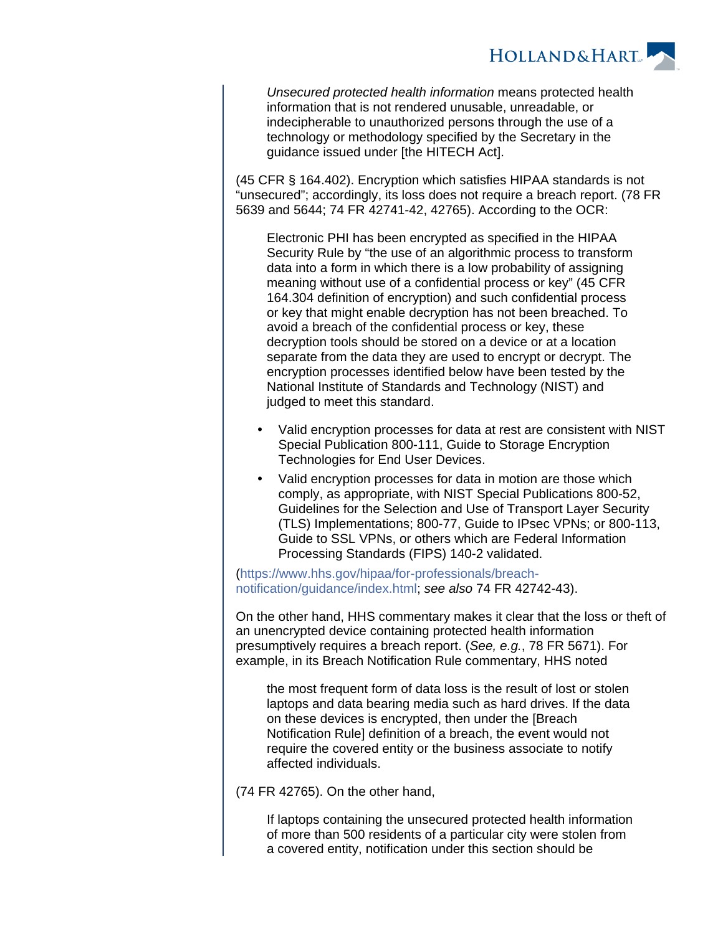

Unsecured protected health information means protected health information that is not rendered unusable, unreadable, or indecipherable to unauthorized persons through the use of a technology or methodology specified by the Secretary in the guidance issued under [the HITECH Act].

(45 CFR § 164.402). Encryption which satisfies HIPAA standards is not "unsecured"; accordingly, its loss does not require a breach report. (78 FR 5639 and 5644; 74 FR 42741-42, 42765). According to the OCR:

Electronic PHI has been encrypted as specified in the HIPAA Security Rule by "the use of an algorithmic process to transform data into a form in which there is a low probability of assigning meaning without use of a confidential process or key" (45 CFR 164.304 definition of encryption) and such confidential process or key that might enable decryption has not been breached. To avoid a breach of the confidential process or key, these decryption tools should be stored on a device or at a location separate from the data they are used to encrypt or decrypt. The encryption processes identified below have been tested by the National Institute of Standards and Technology (NIST) and judged to meet this standard.

- Valid encryption processes for data at rest are consistent with NIST Special Publication 800-111, Guide to Storage Encryption Technologies for End User Devices.
- Valid encryption processes for data in motion are those which comply, as appropriate, with NIST Special Publications 800-52, Guidelines for the Selection and Use of Transport Layer Security (TLS) Implementations; 800-77, Guide to IPsec VPNs; or 800-113, Guide to SSL VPNs, or others which are Federal Information Processing Standards (FIPS) 140-2 validated.

[\(https://www.hhs.gov/hipaa/for-professionals/breach](https://www.hhs.gov/hipaa/for-professionals/breach-notification/guidance/index.html)[notification/guidance/index.html](https://www.hhs.gov/hipaa/for-professionals/breach-notification/guidance/index.html); see also 74 FR 42742-43).

On the other hand, HHS commentary makes it clear that the loss or theft of an unencrypted device containing protected health information presumptively requires a breach report. (See, e.g., 78 FR 5671). For example, in its Breach Notification Rule commentary, HHS noted

the most frequent form of data loss is the result of lost or stolen laptops and data bearing media such as hard drives. If the data on these devices is encrypted, then under the [Breach Notification Rule] definition of a breach, the event would not require the covered entity or the business associate to notify affected individuals.

(74 FR 42765). On the other hand,

If laptops containing the unsecured protected health information of more than 500 residents of a particular city were stolen from a covered entity, notification under this section should be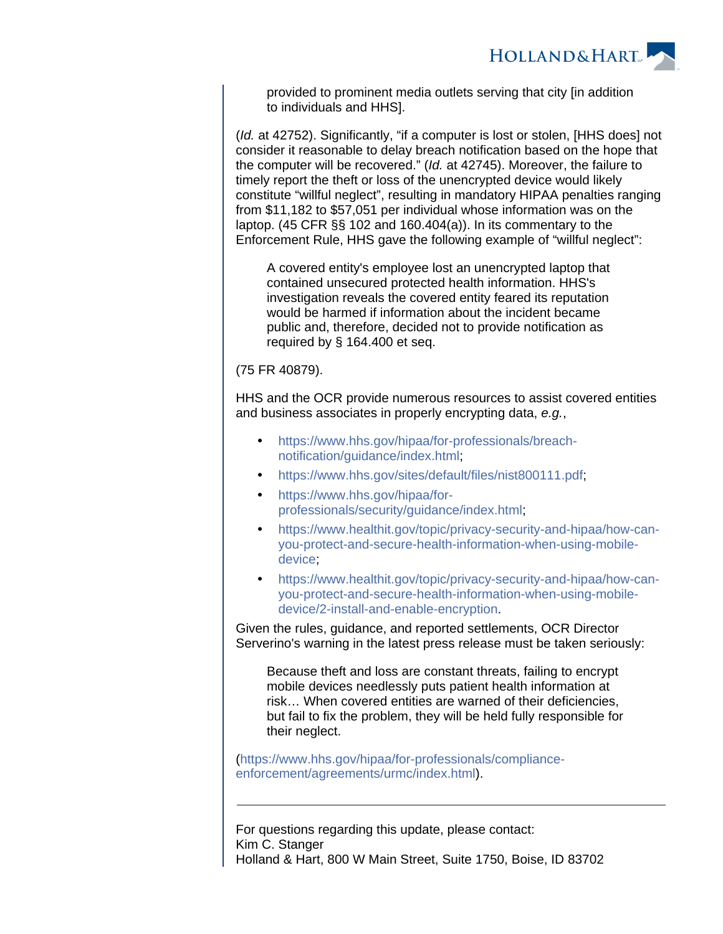

provided to prominent media outlets serving that city [in addition to individuals and HHS].

(Id. at 42752). Significantly, "if a computer is lost or stolen, [HHS does] not consider it reasonable to delay breach notification based on the hope that the computer will be recovered." (Id. at 42745). Moreover, the failure to timely report the theft or loss of the unencrypted device would likely constitute "willful neglect", resulting in mandatory HIPAA penalties ranging from \$11,182 to \$57,051 per individual whose information was on the laptop. (45 CFR §§ 102 and 160.404(a)). In its commentary to the Enforcement Rule, HHS gave the following example of "willful neglect":

A covered entity's employee lost an unencrypted laptop that contained unsecured protected health information. HHS's investigation reveals the covered entity feared its reputation would be harmed if information about the incident became public and, therefore, decided not to provide notification as required by § 164.400 et seq.

(75 FR 40879).

HHS and the OCR provide numerous resources to assist covered entities and business associates in properly encrypting data, e.g.,

- [https://www.hhs.gov/hipaa/for-professionals/breach](https://www.hhs.gov/hipaa/for-professionals/breach-notification/guidance/index.html)[notification/guidance/index.html](https://www.hhs.gov/hipaa/for-professionals/breach-notification/guidance/index.html);
- [https://www.hhs.gov/sites/default/files/nist800111.pdf;](https://www.hhs.gov/sites/default/files/nist800111.pdf)
- [https://www.hhs.gov/hipaa/for](https://www.hhs.gov/hipaa/for-professionals/security/guidance/index.html)[professionals/security/guidance/index.html](https://www.hhs.gov/hipaa/for-professionals/security/guidance/index.html);
- [https://www.healthit.gov/topic/privacy-security-and-hipaa/how-can](https://www.healthit.gov/topic/privacy-security-and-hipaa/how-can-you-protect-and-secure-health-information-when-using-mobile-device)[you-protect-and-secure-health-information-when-using-mobile](https://www.healthit.gov/topic/privacy-security-and-hipaa/how-can-you-protect-and-secure-health-information-when-using-mobile-device)[device;](https://www.healthit.gov/topic/privacy-security-and-hipaa/how-can-you-protect-and-secure-health-information-when-using-mobile-device)
- [https://www.healthit.gov/topic/privacy-security-and-hipaa/how-can](https://www.healthit.gov/topic/privacy-security-and-hipaa/how-can-you-protect-and-secure-health-information-when-using-mobile-device/2-install-and-enable-encryption)[you-protect-and-secure-health-information-when-using-mobile](https://www.healthit.gov/topic/privacy-security-and-hipaa/how-can-you-protect-and-secure-health-information-when-using-mobile-device/2-install-and-enable-encryption)[device/2-install-and-enable-encryption.](https://www.healthit.gov/topic/privacy-security-and-hipaa/how-can-you-protect-and-secure-health-information-when-using-mobile-device/2-install-and-enable-encryption)

Given the rules, guidance, and reported settlements, OCR Director Serverino's warning in the latest press release must be taken seriously:

Because theft and loss are constant threats, failing to encrypt mobile devices needlessly puts patient health information at risk… When covered entities are warned of their deficiencies, but fail to fix the problem, they will be held fully responsible for their neglect.

[\(https://www.hhs.gov/hipaa/for-professionals/compliance](https://www.hhs.gov/hipaa/for-professionals/compliance-enforcement/agreements/urmc/index.html)[enforcement/agreements/urmc/index.html\)](https://www.hhs.gov/hipaa/for-professionals/compliance-enforcement/agreements/urmc/index.html).

For questions regarding this update, please contact: Kim C. Stanger Holland & Hart, 800 W Main Street, Suite 1750, Boise, ID 83702